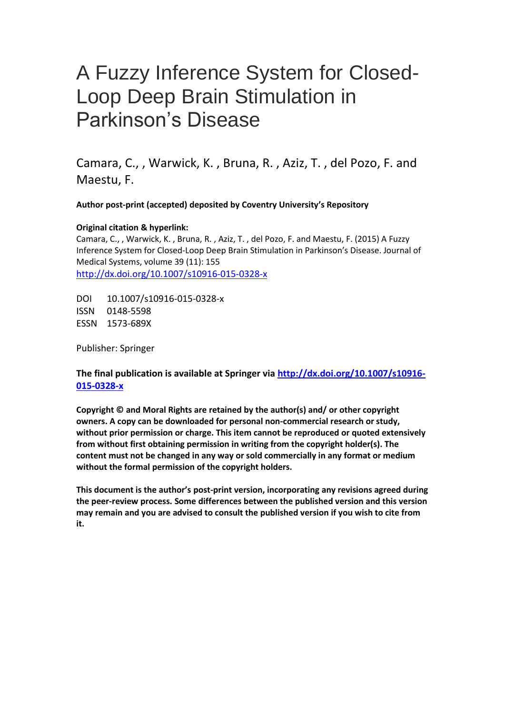# A Fuzzy Inference System for Closed-Loop Deep Brain Stimulation in Parkinson's Disease

Camara, C., , Warwick, K. , Bruna, R. , Aziz, T. , del Pozo, F. and Maestu, F.

**Author post-print (accepted) deposited by Coventry University's Repository**

# **Original citation & hyperlink:**

Camara, C., , Warwick, K. , Bruna, R. , Aziz, T. , del Pozo, F. and Maestu, F. (2015) A Fuzzy Inference System for Closed-Loop Deep Brain Stimulation in Parkinson's Disease. Journal of Medical Systems, volume 39 (11): 155 <http://dx.doi.org/10.1007/s10916-015-0328-x>

DOI 10.1007/s10916-015-0328-x ISSN 0148-5598 ESSN 1573-689X

Publisher: Springer

**The final publication is available at Springer via [http://dx.doi.org/10.1007/s10916-](http://dx.doi.org/10.1007/s10916-015-0328-x) [015-0328-x](http://dx.doi.org/10.1007/s10916-015-0328-x)**

**Copyright © and Moral Rights are retained by the author(s) and/ or other copyright owners. A copy can be downloaded for personal non-commercial research or study, without prior permission or charge. This item cannot be reproduced or quoted extensively from without first obtaining permission in writing from the copyright holder(s). The content must not be changed in any way or sold commercially in any format or medium without the formal permission of the copyright holders.** 

**This document is the author's post-print version, incorporating any revisions agreed during the peer-review process. Some differences between the published version and this version may remain and you are advised to consult the published version if you wish to cite from it.**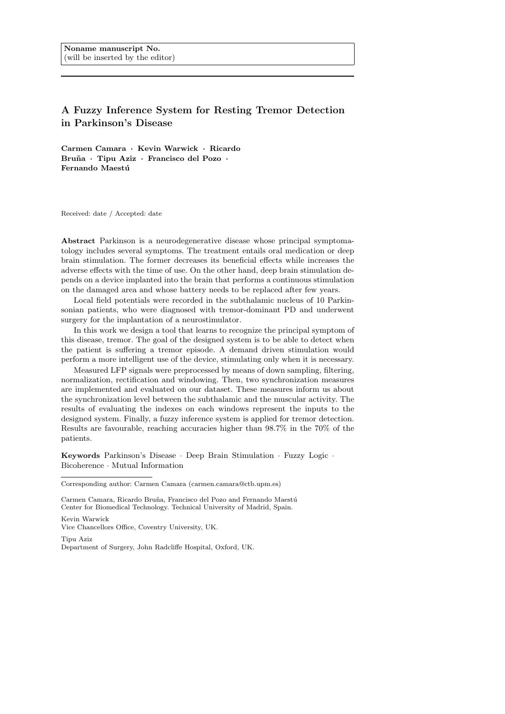# A Fuzzy Inference System for Resting Tremor Detection in Parkinson's Disease

Carmen Camara · Kevin Warwick · Ricardo Bruña · Tipu Aziz · Francisco del Pozo · Fernando Maestú

Received: date / Accepted: date

Abstract Parkinson is a neurodegenerative disease whose principal symptomatology includes several symptoms. The treatment entails oral medication or deep brain stimulation. The former decreases its beneficial effects while increases the adverse effects with the time of use. On the other hand, deep brain stimulation depends on a device implanted into the brain that performs a continuous stimulation on the damaged area and whose battery needs to be replaced after few years.

Local field potentials were recorded in the subthalamic nucleus of 10 Parkinsonian patients, who were diagnosed with tremor-dominant PD and underwent surgery for the implantation of a neurostimulator.

In this work we design a tool that learns to recognize the principal symptom of this disease, tremor. The goal of the designed system is to be able to detect when the patient is suffering a tremor episode. A demand driven stimulation would perform a more intelligent use of the device, stimulating only when it is necessary.

Measured LFP signals were preprocessed by means of down sampling, filtering, normalization, rectification and windowing. Then, two synchronization measures are implemented and evaluated on our dataset. These measures inform us about the synchronization level between the subthalamic and the muscular activity. The results of evaluating the indexes on each windows represent the inputs to the designed system. Finally, a fuzzy inference system is applied for tremor detection. Results are favourable, reaching accuracies higher than 98.7% in the 70% of the patients.

Keywords Parkinson's Disease · Deep Brain Stimulation · Fuzzy Logic · Bicoherence · Mutual Information

Carmen Camara, Ricardo Bruña, Francisco del Pozo and Fernando Maestú Center for Biomedical Technology. Technical University of Madrid, Spain.

Kevin Warwick

Vice Chancellors Office, Coventry University, UK.

Tipu Aziz Department of Surgery, John Radcliffe Hospital, Oxford, UK.

Corresponding author: Carmen Camara (carmen.camara@ctb.upm.es)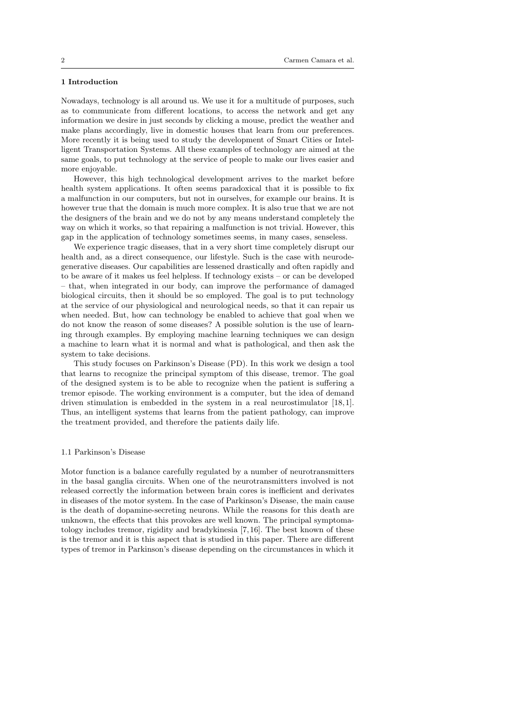# 1 Introduction

Nowadays, technology is all around us. We use it for a multitude of purposes, such as to communicate from different locations, to access the network and get any information we desire in just seconds by clicking a mouse, predict the weather and make plans accordingly, live in domestic houses that learn from our preferences. More recently it is being used to study the development of Smart Cities or Intelligent Transportation Systems. All these examples of technology are aimed at the same goals, to put technology at the service of people to make our lives easier and more enjoyable.

However, this high technological development arrives to the market before health system applications. It often seems paradoxical that it is possible to fix a malfunction in our computers, but not in ourselves, for example our brains. It is however true that the domain is much more complex. It is also true that we are not the designers of the brain and we do not by any means understand completely the way on which it works, so that repairing a malfunction is not trivial. However, this gap in the application of technology sometimes seems, in many cases, senseless.

We experience tragic diseases, that in a very short time completely disrupt our health and, as a direct consequence, our lifestyle. Such is the case with neurodegenerative diseases. Our capabilities are lessened drastically and often rapidly and to be aware of it makes us feel helpless. If technology exists – or can be developed – that, when integrated in our body, can improve the performance of damaged biological circuits, then it should be so employed. The goal is to put technology at the service of our physiological and neurological needs, so that it can repair us when needed. But, how can technology be enabled to achieve that goal when we do not know the reason of some diseases? A possible solution is the use of learning through examples. By employing machine learning techniques we can design a machine to learn what it is normal and what is pathological, and then ask the system to take decisions.

This study focuses on Parkinson's Disease (PD). In this work we design a tool that learns to recognize the principal symptom of this disease, tremor. The goal of the designed system is to be able to recognize when the patient is suffering a tremor episode. The working environment is a computer, but the idea of demand driven stimulation is embedded in the system in a real neurostimulator [18, 1]. Thus, an intelligent systems that learns from the patient pathology, can improve the treatment provided, and therefore the patients daily life.

# 1.1 Parkinson's Disease

Motor function is a balance carefully regulated by a number of neurotransmitters in the basal ganglia circuits. When one of the neurotransmitters involved is not released correctly the information between brain cores is inefficient and derivates in diseases of the motor system. In the case of Parkinson's Disease, the main cause is the death of dopamine-secreting neurons. While the reasons for this death are unknown, the effects that this provokes are well known. The principal symptomatology includes tremor, rigidity and bradykinesia [7,16]. The best known of these is the tremor and it is this aspect that is studied in this paper. There are different types of tremor in Parkinson's disease depending on the circumstances in which it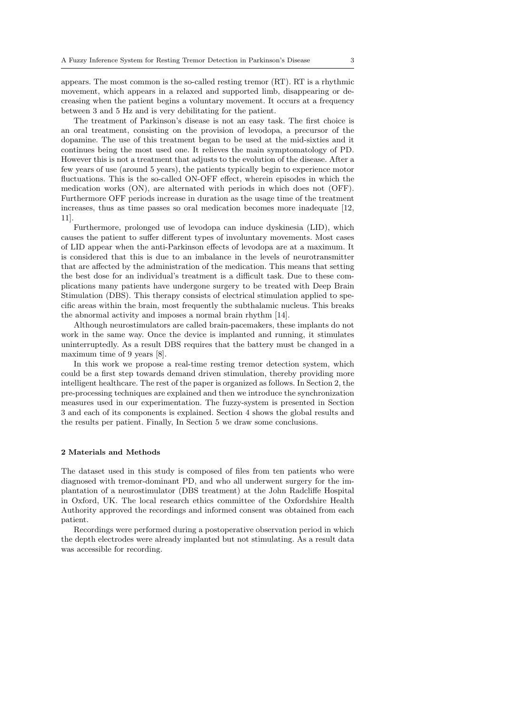appears. The most common is the so-called resting tremor (RT). RT is a rhythmic movement, which appears in a relaxed and supported limb, disappearing or decreasing when the patient begins a voluntary movement. It occurs at a frequency between 3 and 5 Hz and is very debilitating for the patient.

The treatment of Parkinson's disease is not an easy task. The first choice is an oral treatment, consisting on the provision of levodopa, a precursor of the dopamine. The use of this treatment began to be used at the mid-sixties and it continues being the most used one. It relieves the main symptomatology of PD. However this is not a treatment that adjusts to the evolution of the disease. After a few years of use (around 5 years), the patients typically begin to experience motor fluctuations. This is the so-called ON-OFF effect, wherein episodes in which the medication works (ON), are alternated with periods in which does not (OFF). Furthermore OFF periods increase in duration as the usage time of the treatment increases, thus as time passes so oral medication becomes more inadequate [12, 11].

Furthermore, prolonged use of levodopa can induce dyskinesia (LID), which causes the patient to suffer different types of involuntary movements. Most cases of LID appear when the anti-Parkinson effects of levodopa are at a maximum. It is considered that this is due to an imbalance in the levels of neurotransmitter that are affected by the administration of the medication. This means that setting the best dose for an individual's treatment is a difficult task. Due to these complications many patients have undergone surgery to be treated with Deep Brain Stimulation (DBS). This therapy consists of electrical stimulation applied to specific areas within the brain, most frequently the subthalamic nucleus. This breaks the abnormal activity and imposes a normal brain rhythm [14].

Although neurostimulators are called brain-pacemakers, these implants do not work in the same way. Once the device is implanted and running, it stimulates uninterruptedly. As a result DBS requires that the battery must be changed in a maximum time of 9 years [8].

In this work we propose a real-time resting tremor detection system, which could be a first step towards demand driven stimulation, thereby providing more intelligent healthcare. The rest of the paper is organized as follows. In Section 2, the pre-processing techniques are explained and then we introduce the synchronization measures used in our experimentation. The fuzzy-system is presented in Section 3 and each of its components is explained. Section 4 shows the global results and the results per patient. Finally, In Section 5 we draw some conclusions.

# 2 Materials and Methods

The dataset used in this study is composed of files from ten patients who were diagnosed with tremor-dominant PD, and who all underwent surgery for the implantation of a neurostimulator (DBS treatment) at the John Radcliffe Hospital in Oxford, UK. The local research ethics committee of the Oxfordshire Health Authority approved the recordings and informed consent was obtained from each patient.

Recordings were performed during a postoperative observation period in which the depth electrodes were already implanted but not stimulating. As a result data was accessible for recording.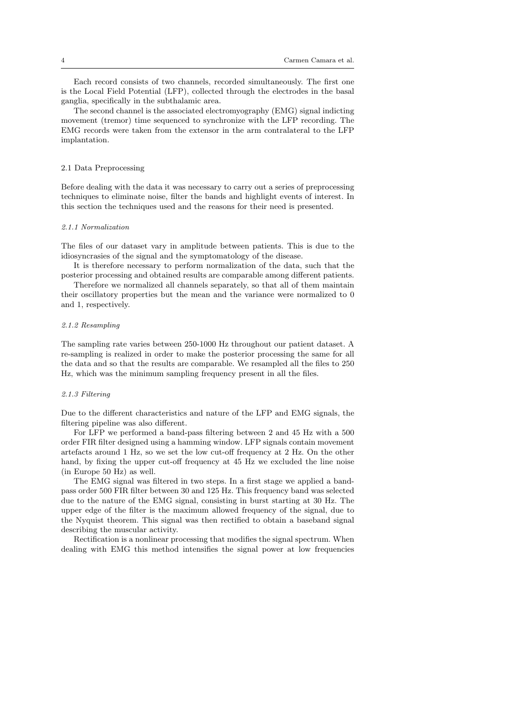Each record consists of two channels, recorded simultaneously. The first one is the Local Field Potential (LFP), collected through the electrodes in the basal ganglia, specifically in the subthalamic area.

The second channel is the associated electromyography (EMG) signal indicting movement (tremor) time sequenced to synchronize with the LFP recording. The EMG records were taken from the extensor in the arm contralateral to the LFP implantation.

#### 2.1 Data Preprocessing

Before dealing with the data it was necessary to carry out a series of preprocessing techniques to eliminate noise, filter the bands and highlight events of interest. In this section the techniques used and the reasons for their need is presented.

# 2.1.1 Normalization

The files of our dataset vary in amplitude between patients. This is due to the idiosyncrasies of the signal and the symptomatology of the disease.

It is therefore necessary to perform normalization of the data, such that the posterior processing and obtained results are comparable among different patients.

Therefore we normalized all channels separately, so that all of them maintain their oscillatory properties but the mean and the variance were normalized to 0 and 1, respectively.

#### 2.1.2 Resampling

The sampling rate varies between 250-1000 Hz throughout our patient dataset. A re-sampling is realized in order to make the posterior processing the same for all the data and so that the results are comparable. We resampled all the files to 250 Hz, which was the minimum sampling frequency present in all the files.

## 2.1.3 Filtering

Due to the different characteristics and nature of the LFP and EMG signals, the filtering pipeline was also different.

For LFP we performed a band-pass filtering between 2 and 45 Hz with a 500 order FIR filter designed using a hamming window. LFP signals contain movement artefacts around 1 Hz, so we set the low cut-off frequency at 2 Hz. On the other hand, by fixing the upper cut-off frequency at 45 Hz we excluded the line noise (in Europe 50 Hz) as well.

The EMG signal was filtered in two steps. In a first stage we applied a bandpass order 500 FIR filter between 30 and 125 Hz. This frequency band was selected due to the nature of the EMG signal, consisting in burst starting at 30 Hz. The upper edge of the filter is the maximum allowed frequency of the signal, due to the Nyquist theorem. This signal was then rectified to obtain a baseband signal describing the muscular activity.

Rectification is a nonlinear processing that modifies the signal spectrum. When dealing with EMG this method intensifies the signal power at low frequencies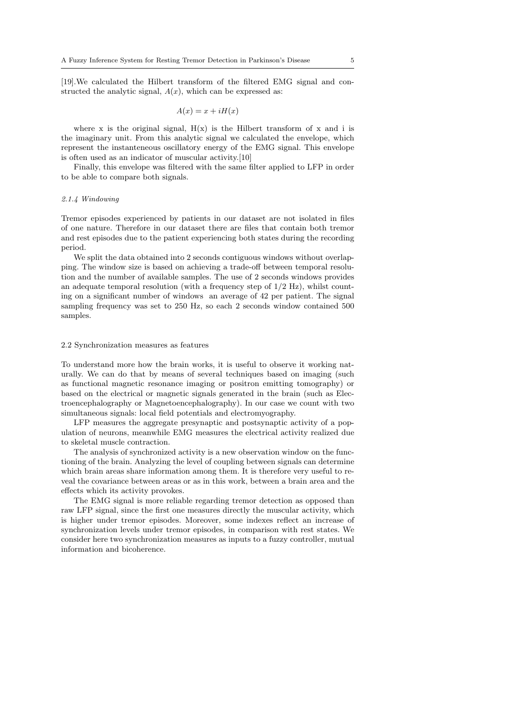[19].We calculated the Hilbert transform of the filtered EMG signal and constructed the analytic signal,  $A(x)$ , which can be expressed as:

$$
A(x) = x + iH(x)
$$

where x is the original signal,  $H(x)$  is the Hilbert transform of x and i is the imaginary unit. From this analytic signal we calculated the envelope, which represent the instanteneous oscillatory energy of the EMG signal. This envelope is often used as an indicator of muscular activity.[10]

Finally, this envelope was filtered with the same filter applied to LFP in order to be able to compare both signals.

#### 2.1.4 Windowing

Tremor episodes experienced by patients in our dataset are not isolated in files of one nature. Therefore in our dataset there are files that contain both tremor and rest episodes due to the patient experiencing both states during the recording period.

We split the data obtained into 2 seconds contiguous windows without overlapping. The window size is based on achieving a trade-off between temporal resolution and the number of available samples. The use of 2 seconds windows provides an adequate temporal resolution (with a frequency step of 1/2 Hz), whilst counting on a significant number of windows an average of 42 per patient. The signal sampling frequency was set to 250 Hz, so each 2 seconds window contained 500 samples.

#### 2.2 Synchronization measures as features

To understand more how the brain works, it is useful to observe it working naturally. We can do that by means of several techniques based on imaging (such as functional magnetic resonance imaging or positron emitting tomography) or based on the electrical or magnetic signals generated in the brain (such as Electroencephalography or Magnetoencephalography). In our case we count with two simultaneous signals: local field potentials and electromyography.

LFP measures the aggregate presynaptic and postsynaptic activity of a population of neurons, meanwhile EMG measures the electrical activity realized due to skeletal muscle contraction.

The analysis of synchronized activity is a new observation window on the functioning of the brain. Analyzing the level of coupling between signals can determine which brain areas share information among them. It is therefore very useful to reveal the covariance between areas or as in this work, between a brain area and the effects which its activity provokes.

The EMG signal is more reliable regarding tremor detection as opposed than raw LFP signal, since the first one measures directly the muscular activity, which is higher under tremor episodes. Moreover, some indexes reflect an increase of synchronization levels under tremor episodes, in comparison with rest states. We consider here two synchronization measures as inputs to a fuzzy controller, mutual information and bicoherence.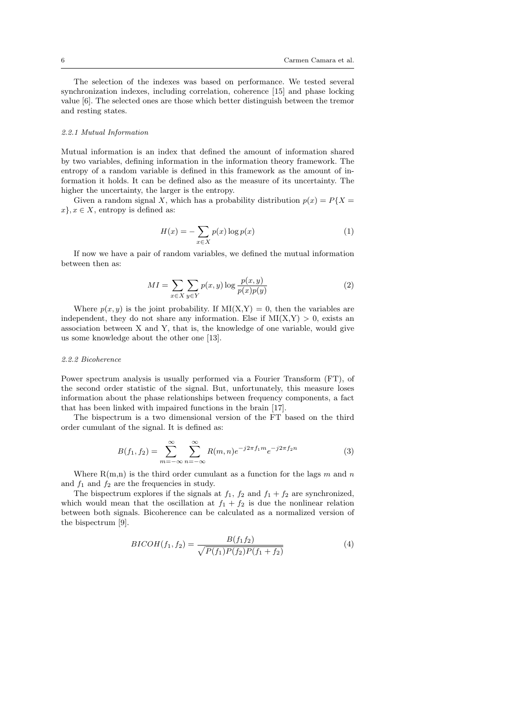The selection of the indexes was based on performance. We tested several synchronization indexes, including correlation, coherence [15] and phase locking value [6]. The selected ones are those which better distinguish between the tremor and resting states.

#### 2.2.1 Mutual Information

Mutual information is an index that defined the amount of information shared by two variables, defining information in the information theory framework. The entropy of a random variable is defined in this framework as the amount of information it holds. It can be defined also as the measure of its uncertainty. The higher the uncertainty, the larger is the entropy.

Given a random signal X, which has a probability distribution  $p(x) = P\{X =$  $x, x \in X$ , entropy is defined as:

$$
H(x) = -\sum_{x \in X} p(x) \log p(x) \tag{1}
$$

If now we have a pair of random variables, we defined the mutual information between then as:

$$
MI = \sum_{x \in X} \sum_{y \in Y} p(x, y) \log \frac{p(x, y)}{p(x)p(y)} \tag{2}
$$

Where  $p(x, y)$  is the joint probability. If  $MI(X, Y) = 0$ , then the variables are independent, they do not share any information. Else if  $MI(X,Y) > 0$ , exists an association between X and Y, that is, the knowledge of one variable, would give us some knowledge about the other one [13].

# 2.2.2 Bicoherence

Power spectrum analysis is usually performed via a Fourier Transform (FT), of the second order statistic of the signal. But, unfortunately, this measure loses information about the phase relationships between frequency components, a fact that has been linked with impaired functions in the brain [17].

The bispectrum is a two dimensional version of the FT based on the third order cumulant of the signal. It is defined as:

$$
B(f_1, f_2) = \sum_{m = -\infty}^{\infty} \sum_{n = -\infty}^{\infty} R(m, n) e^{-j2\pi f_1 m} e^{-j2\pi f_2 n}
$$
 (3)

Where  $R(m,n)$  is the third order cumulant as a function for the lags m and n and  $f_1$  and  $f_2$  are the frequencies in study.

The bispectrum explores if the signals at  $f_1$ ,  $f_2$  and  $f_1 + f_2$  are synchronized, which would mean that the oscillation at  $f_1 + f_2$  is due the nonlinear relation between both signals. Bicoherence can be calculated as a normalized version of the bispectrum [9].

$$
BICOH(f_1, f_2) = \frac{B(f_1 f_2)}{\sqrt{P(f_1)P(f_2)P(f_1 + f_2)}}
$$
(4)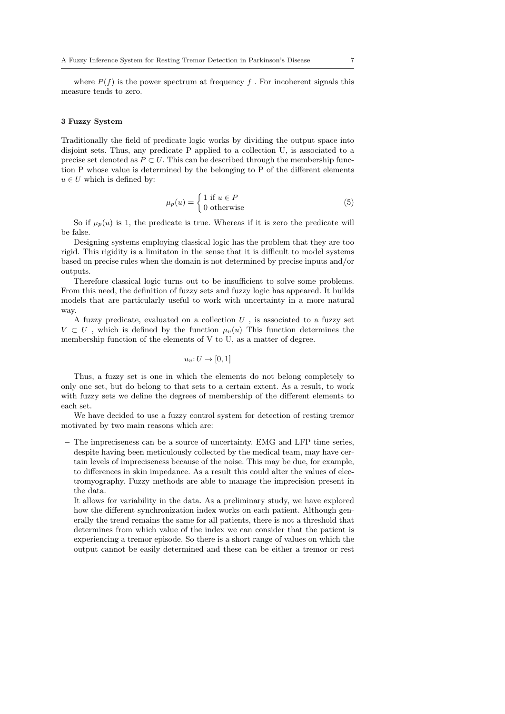where  $P(f)$  is the power spectrum at frequency f. For incoherent signals this measure tends to zero.

#### 3 Fuzzy System

Traditionally the field of predicate logic works by dividing the output space into disjoint sets. Thus, any predicate P applied to a collection U, is associated to a precise set denoted as  $P \subset U$ . This can be described through the membership function P whose value is determined by the belonging to P of the different elements  $u \in U$  which is defined by:

$$
\mu_p(u) = \begin{cases} 1 \text{ if } u \in P \\ 0 \text{ otherwise} \end{cases}
$$
\n(5)

So if  $\mu_p(u)$  is 1, the predicate is true. Whereas if it is zero the predicate will be false.

Designing systems employing classical logic has the problem that they are too rigid. This rigidity is a limitaton in the sense that it is difficult to model systems based on precise rules when the domain is not determined by precise inputs and/or outputs.

Therefore classical logic turns out to be insufficient to solve some problems. From this need, the definition of fuzzy sets and fuzzy logic has appeared. It builds models that are particularly useful to work with uncertainty in a more natural way.

A fuzzy predicate, evaluated on a collection  $U$ , is associated to a fuzzy set  $V \subset U$ , which is defined by the function  $\mu_v(u)$  This function determines the membership function of the elements of V to U, as a matter of degree.

$$
u_v \colon U \to [0,1]
$$

Thus, a fuzzy set is one in which the elements do not belong completely to only one set, but do belong to that sets to a certain extent. As a result, to work with fuzzy sets we define the degrees of membership of the different elements to each set.

We have decided to use a fuzzy control system for detection of resting tremor motivated by two main reasons which are:

- The impreciseness can be a source of uncertainty. EMG and LFP time series, despite having been meticulously collected by the medical team, may have certain levels of impreciseness because of the noise. This may be due, for example, to differences in skin impedance. As a result this could alter the values of electromyography. Fuzzy methods are able to manage the imprecision present in the data.
- It allows for variability in the data. As a preliminary study, we have explored how the different synchronization index works on each patient. Although generally the trend remains the same for all patients, there is not a threshold that determines from which value of the index we can consider that the patient is experiencing a tremor episode. So there is a short range of values on which the output cannot be easily determined and these can be either a tremor or rest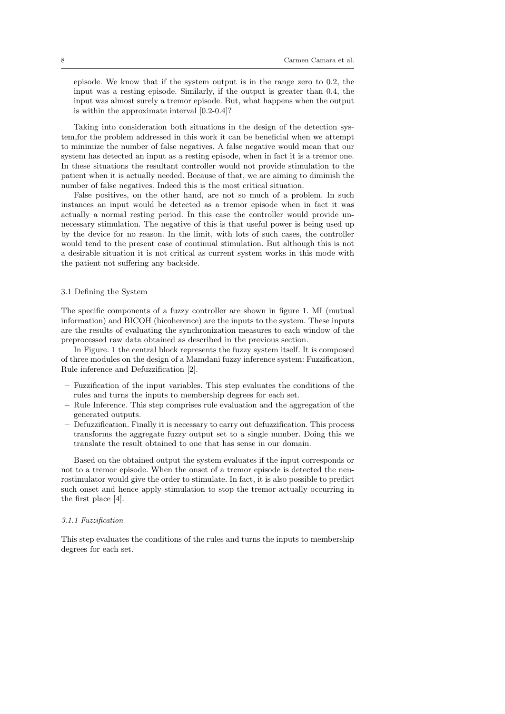episode. We know that if the system output is in the range zero to 0.2, the input was a resting episode. Similarly, if the output is greater than 0.4, the input was almost surely a tremor episode. But, what happens when the output is within the approximate interval [0.2-0.4]?

Taking into consideration both situations in the design of the detection system,for the problem addressed in this work it can be beneficial when we attempt to minimize the number of false negatives. A false negative would mean that our system has detected an input as a resting episode, when in fact it is a tremor one. In these situations the resultant controller would not provide stimulation to the patient when it is actually needed. Because of that, we are aiming to diminish the number of false negatives. Indeed this is the most critical situation.

False positives, on the other hand, are not so much of a problem. In such instances an input would be detected as a tremor episode when in fact it was actually a normal resting period. In this case the controller would provide unnecessary stimulation. The negative of this is that useful power is being used up by the device for no reason. In the limit, with lots of such cases, the controller would tend to the present case of continual stimulation. But although this is not a desirable situation it is not critical as current system works in this mode with the patient not suffering any backside.

# 3.1 Defining the System

The specific components of a fuzzy controller are shown in figure 1. MI (mutual information) and BICOH (bicoherence) are the inputs to the system. These inputs are the results of evaluating the synchronization measures to each window of the preprocessed raw data obtained as described in the previous section.

In Figure. 1 the central block represents the fuzzy system itself. It is composed of three modules on the design of a Mamdani fuzzy inference system: Fuzzification, Rule inference and Defuzzification [2].

- Fuzzification of the input variables. This step evaluates the conditions of the rules and turns the inputs to membership degrees for each set.
- Rule Inference. This step comprises rule evaluation and the aggregation of the generated outputs.
- Defuzzification. Finally it is necessary to carry out defuzzification. This process transforms the aggregate fuzzy output set to a single number. Doing this we translate the result obtained to one that has sense in our domain.

Based on the obtained output the system evaluates if the input corresponds or not to a tremor episode. When the onset of a tremor episode is detected the neurostimulator would give the order to stimulate. In fact, it is also possible to predict such onset and hence apply stimulation to stop the tremor actually occurring in the first place [4].

#### 3.1.1 Fuzzification

This step evaluates the conditions of the rules and turns the inputs to membership degrees for each set.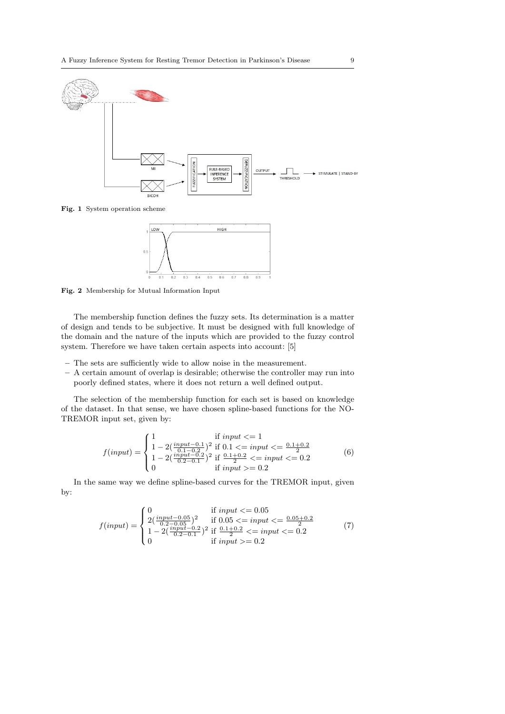

Fig. 1 System operation scheme



Fig. 2 Membership for Mutual Information Input

The membership function defines the fuzzy sets. Its determination is a matter of design and tends to be subjective. It must be designed with full knowledge of the domain and the nature of the inputs which are provided to the fuzzy control system. Therefore we have taken certain aspects into account: [5]

- The sets are sufficiently wide to allow noise in the measurement.
- A certain amount of overlap is desirable; otherwise the controller may run into poorly defined states, where it does not return a well defined output.

The selection of the membership function for each set is based on knowledge of the dataset. In that sense, we have chosen spline-based functions for the NO-TREMOR input set, given by:

$$
f(input) = \begin{cases} 1 & \text{if input} <= 1 \\ 1 - 2(\frac{input - 0.1}{0.1 - 0.2})^2 \text{ if } 0.1 <= input <= \frac{0.1 + 0.2}{2} \\ 1 - 2(\frac{input - 0.2}{0.2 - 0.1})^2 \text{ if } \frac{0.1 + 0.2}{2} <= input <= 0.2 \\ 0 & \text{if input} >= 0.2 \end{cases}
$$
(6)

In the same way we define spline-based curves for the TREMOR input, given by:

$$
f(input) = \begin{cases} 0 & \text{if input} <= 0.05\\ 2(\frac{input - 0.05}{0.2 - 0.05})^2 & \text{if 0.05} <= input <= \frac{0.05 + 0.2}{2}\\ 1 - 2(\frac{input - 0.2}{0.2 - 0.1})^2 & \text{if } \frac{0.1 + 0.2}{2} <= input <= 0.2\\ 0 & \text{if input} >= 0.2 \end{cases}
$$
(7)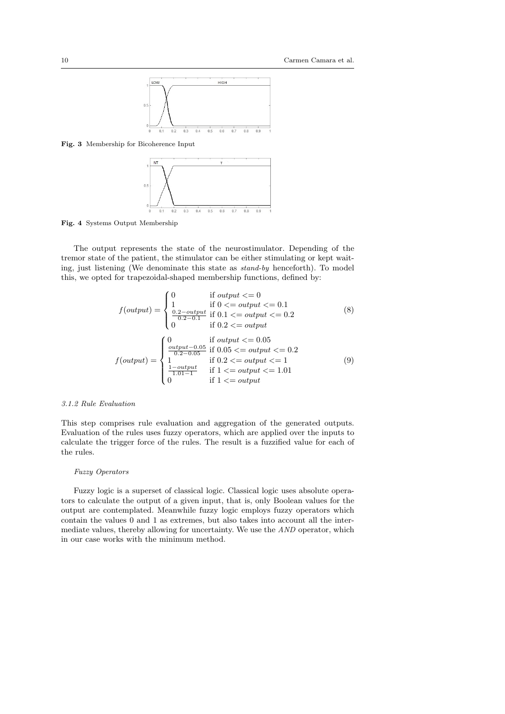

Fig. 3 Membership for Bicoherence Input



Fig. 4 Systems Output Membership

The output represents the state of the neurostimulator. Depending of the tremor state of the patient, the stimulator can be either stimulating or kept waiting, just listening (We denominate this state as stand-by henceforth). To model this, we opted for trapezoidal-shaped membership functions, defined by:

$$
f(output) = \begin{cases} 0 & \text{if output} <= 0 \\ 1 & \text{if } 0 <= output <= 0.1 \\ \frac{0.2 - output}{0.2 - 0.1} & \text{if } 0.1 <= output <= 0.2 \\ 0 & \text{if } 0.2 <= output \end{cases} \tag{8}
$$

$$
f(output) = \begin{cases} 0 & \text{if output} <= 0.05 \\ \frac{output - 0.05}{0.2 - 0.05} & \text{if } 0.05 <= output <= 0.2 \\ 1 & \text{if } 0.2 <= output <= 1 \\ \frac{1 - output}{1.01 - 1} & \text{if } 1 <= output <= 1.01 \\ 0 & \text{if } 1 <= output \end{cases} \tag{9}
$$

# 3.1.2 Rule Evaluation

This step comprises rule evaluation and aggregation of the generated outputs. Evaluation of the rules uses fuzzy operators, which are applied over the inputs to calculate the trigger force of the rules. The result is a fuzzified value for each of the rules.

## Fuzzy Operators

Fuzzy logic is a superset of classical logic. Classical logic uses absolute operators to calculate the output of a given input, that is, only Boolean values for the output are contemplated. Meanwhile fuzzy logic employs fuzzy operators which contain the values 0 and 1 as extremes, but also takes into account all the intermediate values, thereby allowing for uncertainty. We use the AND operator, which in our case works with the minimum method.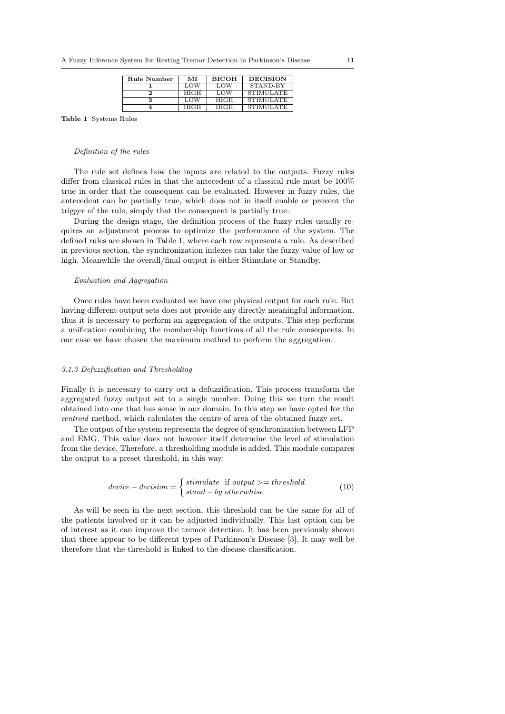| Rule Number | МT         | <b>BICOH</b> | <b>DECISION</b>  |
|-------------|------------|--------------|------------------|
|             | <b>LOW</b> | <b>LOW</b>   | STAND-BY         |
| ົ           | HIGH       | <b>LOW</b>   | <b>STIMULATE</b> |
| 3           | <b>LOW</b> | <b>HIGH</b>  | <b>STIMULATE</b> |
|             | HIGH       | <b>HIGH</b>  | <b>STIMULATE</b> |

Table 1 Systems Rules

#### Definition of the rules

The rule set defines how the inputs are related to the outputs. Fuzzy rules differ from classical rules in that the antecedent of a classical rule must be 100% true in order that the consequent can be evaluated. However in fuzzy rules, the antecedent can be partially true, which does not in itself enable or prevent the trigger of the rule, simply that the consequent is partially true.

During the design stage, the definition process of the fuzzy rules usually requires an adjustment process to optimize the performance of the system. The defined rules are shown in Table 1, where each row represents a rule. As described in previous section, the synchronization indexes can take the fuzzy value of low or high. Meanwhile the overall/final output is either Stimulate or Standby.

## Evaluation and Aggregation

Once rules have been evaluated we have one physical output for each rule. But having different output sets does not provide any directly meaningful information, thus it is necessary to perform an aggregation of the outputs. This step performs a unification combining the membership functions of all the rule consequents. In our case we have chosen the maximum method to perform the aggregation.

## 3.1.3 Defuzzification and Thresholding

Finally it is necessary to carry out a defuzzification. This process transform the aggregated fuzzy output set to a single number. Doing this we turn the result obtained into one that has sense in our domain. In this step we have opted for the centroid method, which calculates the centre of area of the obtained fuzzy set.

The output of the system represents the degree of synchronization between LFP and EMG. This value does not however itself determine the level of stimulation from the device. Therefore, a thresholding module is added. This module compares the output to a preset threshold, in this way:

$$
device - decision = \begin{cases} stimulate & if output >= threshold \\ stand - by otherwise \end{cases}
$$
 (10)

As will be seen in the next section, this threshold can be the same for all of the patients involved or it can be adjusted individually. This last option can be of interest as it can improve the tremor detection. It has been previously shown that there appear to be different types of Parkinson's Disease [3]. It may well be therefore that the threshold is linked to the disease classification.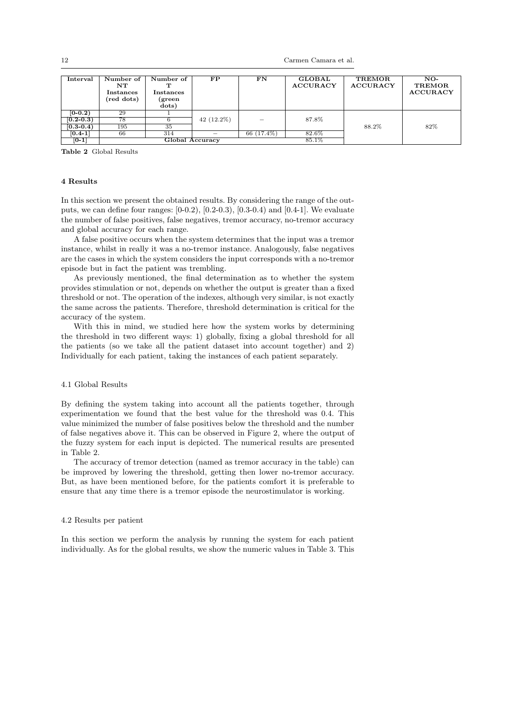12 Carmen Camara et al.

| Interval      | Number of<br>NT<br>Instances<br>(red dots) | Number of<br>т<br>$_{\rm{Instantees}}$<br>(green<br>dots) | FP              | FN            | GLOBAL<br><b>ACCURACY</b> | <b>TREMOR</b><br><b>ACCURACY</b> | NO-<br><b>TREMOR</b><br><b>ACCURACY</b> |
|---------------|--------------------------------------------|-----------------------------------------------------------|-----------------|---------------|---------------------------|----------------------------------|-----------------------------------------|
| $[0-0.2)$     | 29                                         |                                                           |                 |               |                           |                                  |                                         |
| $(0.2 - 0.3)$ | 78                                         |                                                           | $42(12.2\%)$    |               | 87.8%                     |                                  |                                         |
| $[0.3 - 0.4]$ | 195                                        | 35                                                        |                 |               |                           | 88.2%                            | 82%                                     |
| $[0.4-1]$     | 66                                         | 314                                                       | –               | 66 $(17.4\%)$ | 82.6%                     |                                  |                                         |
| $[0-1]$       |                                            |                                                           | Global Accuracy | 85.1%         |                           |                                  |                                         |

Table 2 Global Results

# 4 Results

In this section we present the obtained results. By considering the range of the outputs, we can define four ranges: [0-0.2), [0.2-0.3), [0.3-0.4) and [0.4-1]. We evaluate the number of false positives, false negatives, tremor accuracy, no-tremor accuracy and global accuracy for each range.

A false positive occurs when the system determines that the input was a tremor instance, whilst in really it was a no-tremor instance. Analogously, false negatives are the cases in which the system considers the input corresponds with a no-tremor episode but in fact the patient was trembling.

As previously mentioned, the final determination as to whether the system provides stimulation or not, depends on whether the output is greater than a fixed threshold or not. The operation of the indexes, although very similar, is not exactly the same across the patients. Therefore, threshold determination is critical for the accuracy of the system.

With this in mind, we studied here how the system works by determining the threshold in two different ways: 1) globally, fixing a global threshold for all the patients (so we take all the patient dataset into account together) and 2) Individually for each patient, taking the instances of each patient separately.

# 4.1 Global Results

By defining the system taking into account all the patients together, through experimentation we found that the best value for the threshold was 0.4. This value minimized the number of false positives below the threshold and the number of false negatives above it. This can be observed in Figure 2, where the output of the fuzzy system for each input is depicted. The numerical results are presented in Table 2.

The accuracy of tremor detection (named as tremor accuracy in the table) can be improved by lowering the threshold, getting then lower no-tremor accuracy. But, as have been mentioned before, for the patients comfort it is preferable to ensure that any time there is a tremor episode the neurostimulator is working.

#### 4.2 Results per patient

In this section we perform the analysis by running the system for each patient individually. As for the global results, we show the numeric values in Table 3. This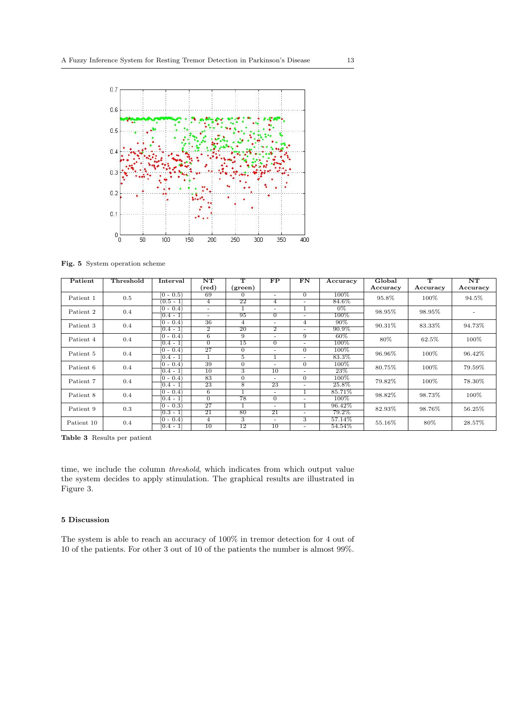

Fig. 5 System operation scheme

| Patient    | Threshold | Interval    | NT                       | T              | <b>FP</b>      | FN       | Accuracy | Global   | T        | NT       |
|------------|-----------|-------------|--------------------------|----------------|----------------|----------|----------|----------|----------|----------|
|            |           |             | $(\mathrm{red})$         | (green)        |                |          |          | Accuracy | Accuracy | Accuracy |
| Patient 1  | 0.5       | $[0 - 0.5)$ | 69                       | $\Omega$       | $\sim$         | $\Omega$ | 100%     | 95.8%    | 100%     | 94.5%    |
|            |           | (0.5 - 1    | 4                        | 22             | 4              | ۰.       | 84.6%    |          |          |          |
| Patient 2  | 0.4       | $[0 - 0.4]$ | $\overline{\phantom{a}}$ |                | $\sim$         |          | $0\%$    | 98.95%   | 98.95%   |          |
|            |           | $[0.4 - 1]$ | $\sim$                   | 95             | $\overline{0}$ | ۰.       | 100%     |          |          |          |
| Patient 3  | 0.4       | $[0 - 0.4]$ | 36                       | $\overline{4}$ | $\sim$         | 4        | 90%      | 90.31\%  | 83.33%   | 94.73%   |
|            |           | $[0.4 - 1]$ | $\overline{2}$           | 20             | $\overline{2}$ | ۰.       | $90.9\%$ |          |          |          |
| Patient 4  | 0.4       | $[0 - 0.4]$ | 6                        | 9              | -              | 9        | 60%      | 80%      | 62.5%    | 100%     |
|            |           | [0.4 - 1    | $\Omega$                 | 15             | $\Omega$       | ۰.       | 100%     |          |          |          |
| Patient 5  | 0.4       | $[0 - 0.4]$ | 27                       | $\Omega$       | $\sim$         | $\Omega$ | 100%     | 96.96%   | 100%     | 96.42%   |
|            |           | $[0.4 - 1]$ |                          | $\overline{5}$ |                | ۰.       | 83.3%    |          |          |          |
| Patient 6  | $0.4\,$   | $[0 - 0.4)$ | 39                       | $\Omega$       | $\sim$         | $\Omega$ | 100%     | 80.75%   | 100%     | 79.59%   |
|            |           | $[0.4 - 1]$ | 10                       | 3              | 10             | ۰.       | 23%      |          |          |          |
| Patient 7  | 0.4       | $[0 - 0.4]$ | 83                       | $\theta$       | $\sim$         | $\Omega$ | 100%     | 79.82%   | 100%     | 78.30%   |
|            |           | $[0.4 - 1]$ | 23                       | 8              | 23             | Ξ.       | $25.8\%$ |          |          |          |
| Patient 8  | 0.4       | $[0 - 0.4]$ | 6                        |                | $\sim$         |          | 85.71%   | 98.82%   | 98.73%   | 100%     |
|            |           | $[0.4 - 1]$ | $\Omega$                 | 78             | $\Omega$       | ۰.       | 100%     |          |          |          |
| Patient 9  | 0.3       | $[0 - 0.3]$ | $\overline{27}$          |                | $\sim$         |          | 96.42%   | 82.93%   | 98.76%   | 56.25%   |
|            |           | $[0.3 - 1]$ | 21                       | 80             | 21             | ٠.       | 79.2%    |          |          |          |
| Patient 10 | 0.4       | $[0 - 0.4]$ | $\overline{4}$           | 3              | ۰.             | 3        | 57.14%   | 55.16%   | 80%      | 28.57%   |
|            |           | $[0.4 - 1]$ | $\overline{10}$          | 12             | 10             | ۰.       | 54.54%   |          |          |          |

Table 3 Results per patient

time, we include the column threshold, which indicates from which output value the system decides to apply stimulation. The graphical results are illustrated in Figure 3.

# 5 Discussion

The system is able to reach an accuracy of 100% in tremor detection for 4 out of 10 of the patients. For other 3 out of 10 of the patients the number is almost 99%.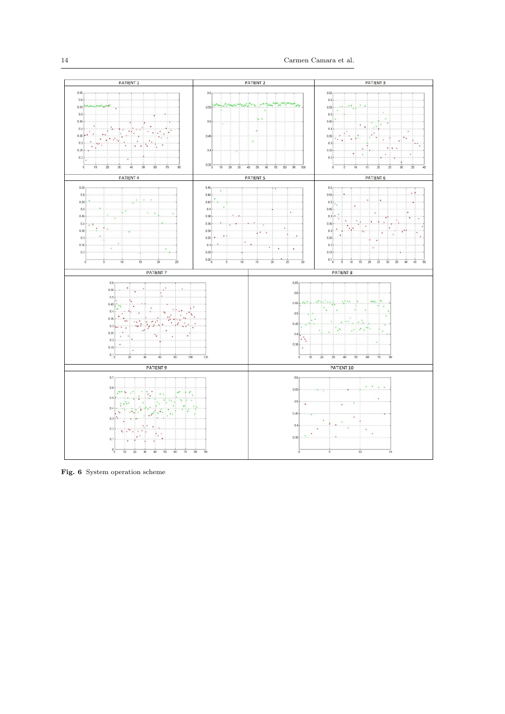

Fig. 6 System operation scheme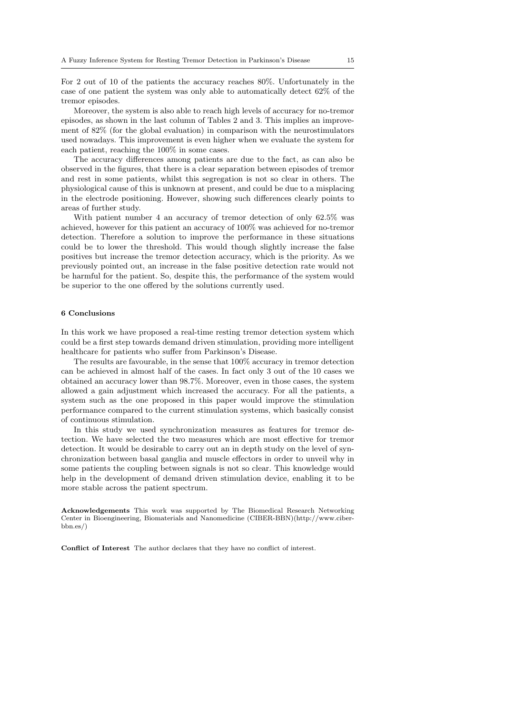For 2 out of 10 of the patients the accuracy reaches 80%. Unfortunately in the case of one patient the system was only able to automatically detect 62% of the tremor episodes.

Moreover, the system is also able to reach high levels of accuracy for no-tremor episodes, as shown in the last column of Tables 2 and 3. This implies an improvement of 82% (for the global evaluation) in comparison with the neurostimulators used nowadays. This improvement is even higher when we evaluate the system for each patient, reaching the 100% in some cases.

The accuracy differences among patients are due to the fact, as can also be observed in the figures, that there is a clear separation between episodes of tremor and rest in some patients, whilst this segregation is not so clear in others. The physiological cause of this is unknown at present, and could be due to a misplacing in the electrode positioning. However, showing such differences clearly points to areas of further study.

With patient number 4 an accuracy of tremor detection of only 62.5% was achieved, however for this patient an accuracy of 100% was achieved for no-tremor detection. Therefore a solution to improve the performance in these situations could be to lower the threshold. This would though slightly increase the false positives but increase the tremor detection accuracy, which is the priority. As we previously pointed out, an increase in the false positive detection rate would not be harmful for the patient. So, despite this, the performance of the system would be superior to the one offered by the solutions currently used.

## 6 Conclusions

In this work we have proposed a real-time resting tremor detection system which could be a first step towards demand driven stimulation, providing more intelligent healthcare for patients who suffer from Parkinson's Disease.

The results are favourable, in the sense that 100% accuracy in tremor detection can be achieved in almost half of the cases. In fact only 3 out of the 10 cases we obtained an accuracy lower than 98.7%. Moreover, even in those cases, the system allowed a gain adjustment which increased the accuracy. For all the patients, a system such as the one proposed in this paper would improve the stimulation performance compared to the current stimulation systems, which basically consist of continuous stimulation.

In this study we used synchronization measures as features for tremor detection. We have selected the two measures which are most effective for tremor detection. It would be desirable to carry out an in depth study on the level of synchronization between basal ganglia and muscle effectors in order to unveil why in some patients the coupling between signals is not so clear. This knowledge would help in the development of demand driven stimulation device, enabling it to be more stable across the patient spectrum.

Acknowledgements This work was supported by The Biomedical Research Networking Center in Bioengineering, Biomaterials and Nanomedicine (CIBER-BBN)(http://www.ciberbbn.es/)

Conflict of Interest The author declares that they have no conflict of interest.